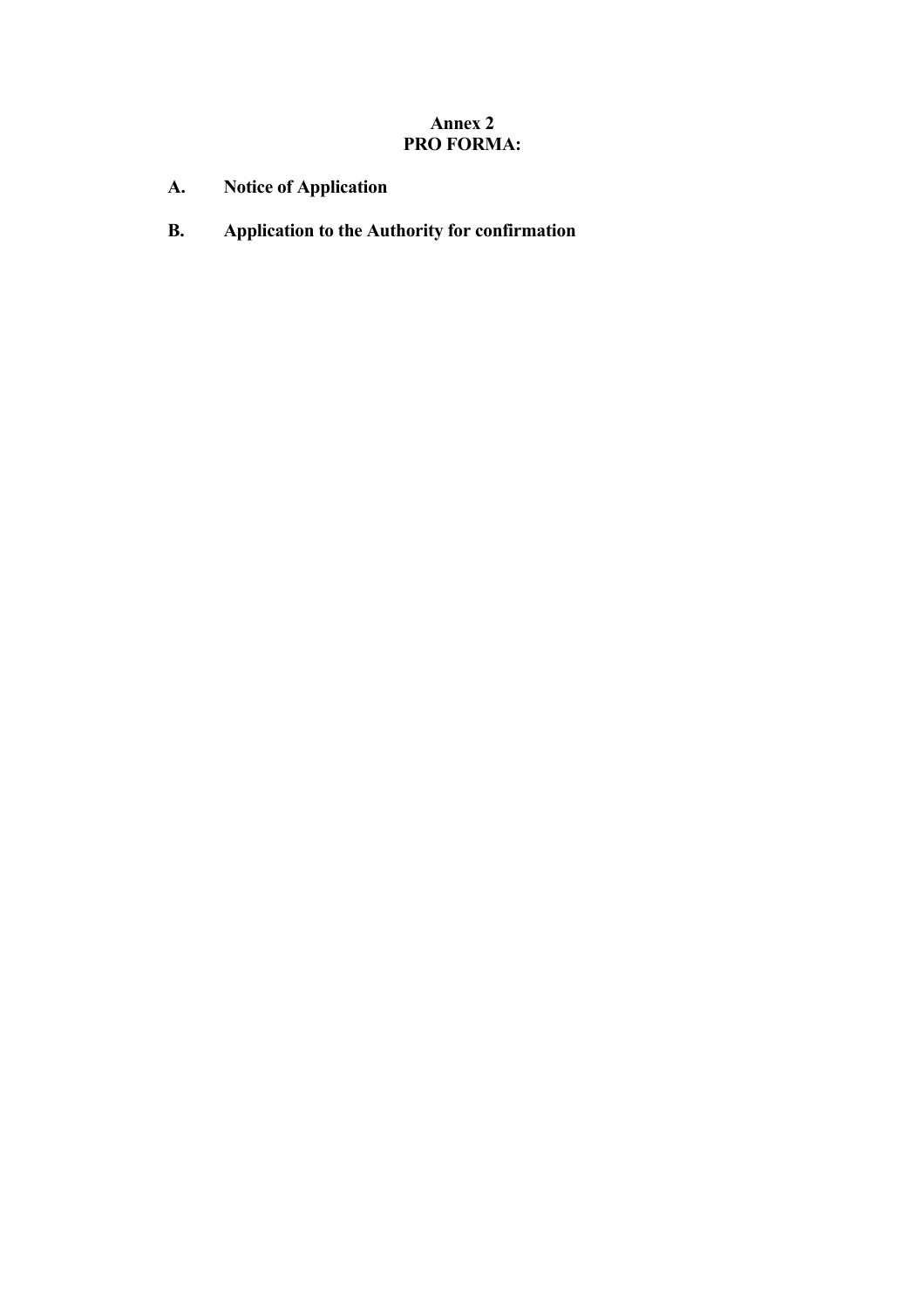# **Annex 2 PRO FORMA:**

- **A. Notice of Application**
- **B. Application to the Authority for confirmation**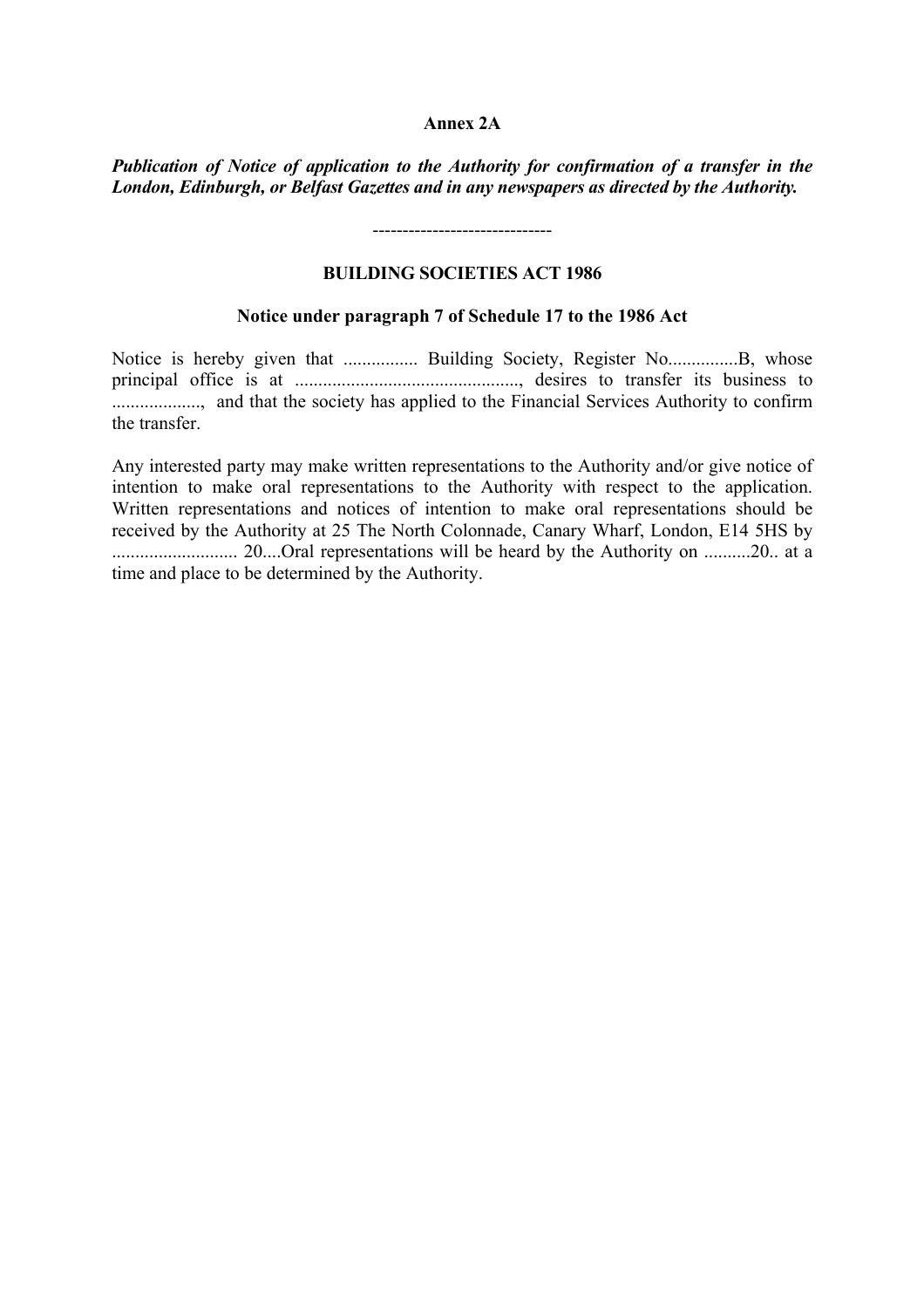#### **Annex 2A**

*Publication of Notice of application to the Authority for confirmation of a transfer in the London, Edinburgh, or Belfast Gazettes and in any newspapers as directed by the Authority.*

------------------------------

## **BUILDING SOCIETIES ACT 1986**

## **Notice under paragraph 7 of Schedule 17 to the 1986 Act**

Notice is hereby given that ................ Building Society, Register No...............B, whose principal office is at ................................................, desires to transfer its business to ..................., and that the society has applied to the Financial Services Authority to confirm the transfer.

Any interested party may make written representations to the Authority and/or give notice of intention to make oral representations to the Authority with respect to the application. Written representations and notices of intention to make oral representations should be received by the Authority at 25 The North Colonnade, Canary Wharf, London, E14 5HS by ........................... 20....Oral representations will be heard by the Authority on ..........20.. at a time and place to be determined by the Authority.